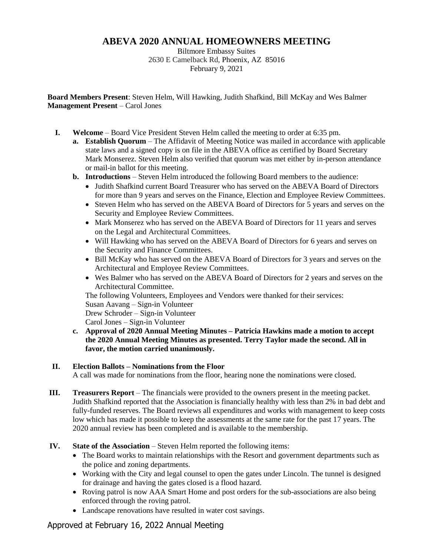## **ABEVA 2020 ANNUAL HOMEOWNERS MEETING**

Biltmore Embassy Suites 2630 E Camelback Rd, Phoenix, AZ 85016 February 9, 2021

**Board Members Present**: Steven Helm, Will Hawking, Judith Shafkind, Bill McKay and Wes Balmer **Management Present** – Carol Jones

- **I. Welcome** Board Vice President Steven Helm called the meeting to order at 6:35 pm.
	- **a. Establish Quorum** The Affidavit of Meeting Notice was mailed in accordance with applicable state laws and a signed copy is on file in the ABEVA office as certified by Board Secretary Mark Monserez. Steven Helm also verified that quorum was met either by in-person attendance or mail-in ballot for this meeting.
	- **b. Introductions**  Steven Helm introduced the following Board members to the audience:
		- Judith Shafkind current Board Treasurer who has served on the ABEVA Board of Directors for more than 9 years and serves on the Finance, Election and Employee Review Committees.
		- Steven Helm who has served on the ABEVA Board of Directors for 5 years and serves on the Security and Employee Review Committees.
		- Mark Monserez who has served on the ABEVA Board of Directors for 11 years and serves on the Legal and Architectural Committees.
		- Will Hawking who has served on the ABEVA Board of Directors for 6 years and serves on the Security and Finance Committees.
		- Bill McKay who has served on the ABEVA Board of Directors for 3 years and serves on the Architectural and Employee Review Committees.
		- Wes Balmer who has served on the ABEVA Board of Directors for 2 years and serves on the Architectural Committee.

The following Volunteers, Employees and Vendors were thanked for their services: Susan Aavang – Sign-in Volunteer Drew Schroder – Sign-in Volunteer

Carol Jones – Sign-in Volunteer

**c. Approval of 2020 Annual Meeting Minutes – Patricia Hawkins made a motion to accept the 2020 Annual Meeting Minutes as presented. Terry Taylor made the second. All in favor, the motion carried unanimously.**

## **II. Election Ballots – Nominations from the Floor**

A call was made for nominations from the floor, hearing none the nominations were closed.

- **III. Treasurers Report** The financials were provided to the owners present in the meeting packet. Judith Shafkind reported that the Association is financially healthy with less than 2% in bad debt and fully-funded reserves. The Board reviews all expenditures and works with management to keep costs low which has made it possible to keep the assessments at the same rate for the past 17 years. The 2020 annual review has been completed and is available to the membership.
- **IV. State of the Association** Steven Helm reported the following items:
	- The Board works to maintain relationships with the Resort and government departments such as the police and zoning departments.
	- Working with the City and legal counsel to open the gates under Lincoln. The tunnel is designed for drainage and having the gates closed is a flood hazard.
	- Roving patrol is now AAA Smart Home and post orders for the sub-associations are also being enforced through the roving patrol.
	- Landscape renovations have resulted in water cost savings.

## Approved at February 16, 2022 Annual Meeting